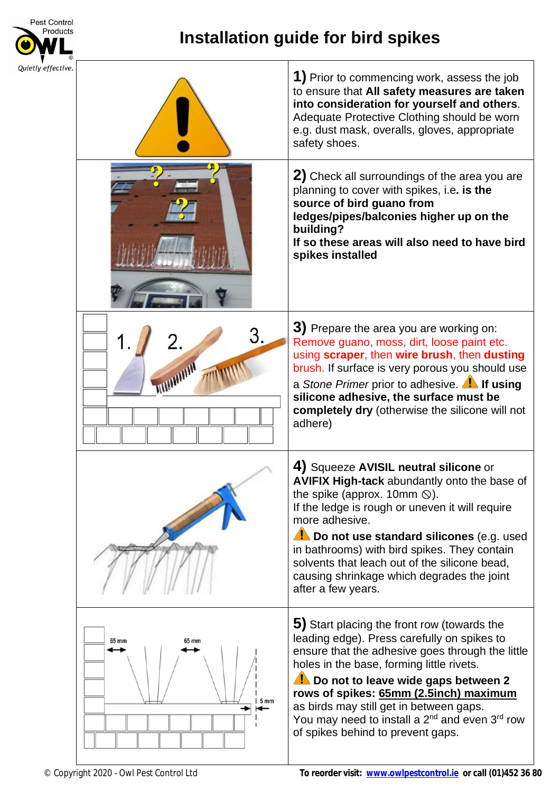

## **Installation guide for bird spikes**